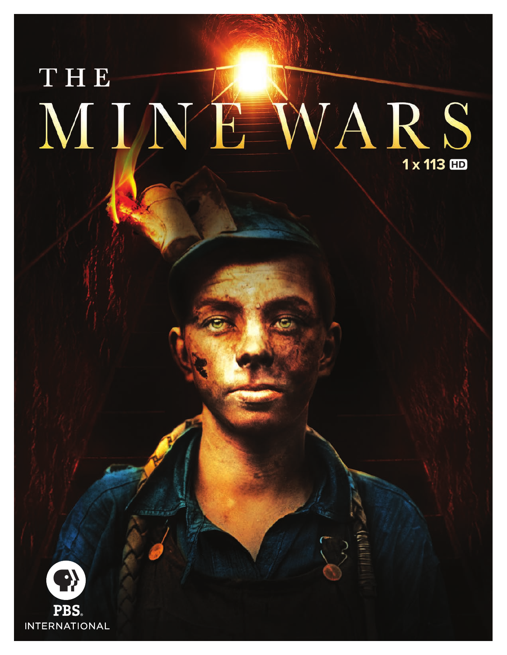# THE MINE WARS 1 x 113 HD